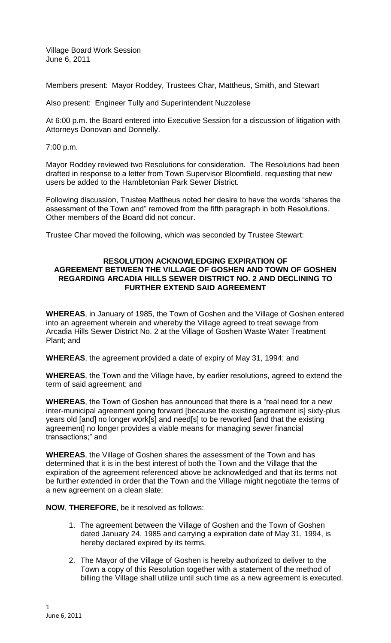Village Board Work Session June 6, 2011

Members present: Mayor Roddey, Trustees Char, Mattheus, Smith, and Stewart

Also present: Engineer Tully and Superintendent Nuzzolese

At 6:00 p.m. the Board entered into Executive Session for a discussion of litigation with Attorneys Donovan and Donnelly.

7:00 p.m.

Mayor Roddey reviewed two Resolutions for consideration. The Resolutions had been drafted in response to a letter from Town Supervisor Bloomfield, requesting that new users be added to the Hambletonian Park Sewer District.

Following discussion, Trustee Mattheus noted her desire to have the words "shares the assessment of the Town and" removed from the fifth paragraph in both Resolutions. Other members of the Board did not concur.

Trustee Char moved the following, which was seconded by Trustee Stewart:

# **RESOLUTION ACKNOWLEDGING EXPIRATION OF AGREEMENT BETWEEN THE VILLAGE OF GOSHEN AND TOWN OF GOSHEN REGARDING ARCADIA HILLS SEWER DISTRICT NO. 2 AND DECLINING TO FURTHER EXTEND SAID AGREEMENT**

**WHEREAS**, in January of 1985, the Town of Goshen and the Village of Goshen entered into an agreement wherein and whereby the Village agreed to treat sewage from Arcadia Hills Sewer District No. 2 at the Village of Goshen Waste Water Treatment Plant; and

**WHEREAS**, the agreement provided a date of expiry of May 31, 1994; and

**WHEREAS**, the Town and the Village have, by earlier resolutions, agreed to extend the term of said agreement; and

**WHEREAS**, the Town of Goshen has announced that there is a "real need for a new inter-municipal agreement going forward [because the existing agreement is] sixty-plus years old [and] no longer work[s] and need[s] to be reworked [and that the existing agreement] no longer provides a viable means for managing sewer financial transactions;" and

**WHEREAS**, the Village of Goshen shares the assessment of the Town and has determined that it is in the best interest of both the Town and the Village that the expiration of the agreement referenced above be acknowledged and that its terms not be further extended in order that the Town and the Village might negotiate the terms of a new agreement on a clean slate;

**NOW**, **THEREFORE**, be it resolved as follows:

- 1. The agreement between the Village of Goshen and the Town of Goshen dated January 24, 1985 and carrying a expiration date of May 31, 1994, is hereby declared expired by its terms.
- 2. The Mayor of the Village of Goshen is hereby authorized to deliver to the Town a copy of this Resolution together with a statement of the method of billing the Village shall utilize until such time as a new agreement is executed.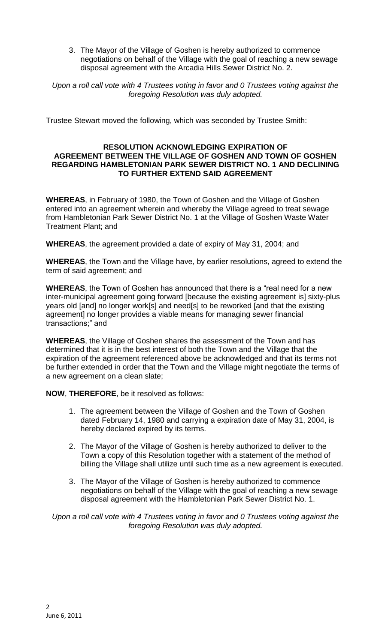3. The Mayor of the Village of Goshen is hereby authorized to commence negotiations on behalf of the Village with the goal of reaching a new sewage disposal agreement with the Arcadia Hills Sewer District No. 2.

*Upon a roll call vote with 4 Trustees voting in favor and 0 Trustees voting against the foregoing Resolution was duly adopted.*

Trustee Stewart moved the following, which was seconded by Trustee Smith:

# **RESOLUTION ACKNOWLEDGING EXPIRATION OF AGREEMENT BETWEEN THE VILLAGE OF GOSHEN AND TOWN OF GOSHEN REGARDING HAMBLETONIAN PARK SEWER DISTRICT NO. 1 AND DECLINING TO FURTHER EXTEND SAID AGREEMENT**

**WHEREAS**, in February of 1980, the Town of Goshen and the Village of Goshen entered into an agreement wherein and whereby the Village agreed to treat sewage from Hambletonian Park Sewer District No. 1 at the Village of Goshen Waste Water Treatment Plant; and

**WHEREAS**, the agreement provided a date of expiry of May 31, 2004; and

**WHEREAS**, the Town and the Village have, by earlier resolutions, agreed to extend the term of said agreement; and

**WHEREAS**, the Town of Goshen has announced that there is a "real need for a new inter-municipal agreement going forward [because the existing agreement is] sixty-plus years old [and] no longer work[s] and need[s] to be reworked [and that the existing agreement] no longer provides a viable means for managing sewer financial transactions;" and

**WHEREAS**, the Village of Goshen shares the assessment of the Town and has determined that it is in the best interest of both the Town and the Village that the expiration of the agreement referenced above be acknowledged and that its terms not be further extended in order that the Town and the Village might negotiate the terms of a new agreement on a clean slate;

**NOW**, **THEREFORE**, be it resolved as follows:

- 1. The agreement between the Village of Goshen and the Town of Goshen dated February 14, 1980 and carrying a expiration date of May 31, 2004, is hereby declared expired by its terms.
- 2. The Mayor of the Village of Goshen is hereby authorized to deliver to the Town a copy of this Resolution together with a statement of the method of billing the Village shall utilize until such time as a new agreement is executed.
- 3. The Mayor of the Village of Goshen is hereby authorized to commence negotiations on behalf of the Village with the goal of reaching a new sewage disposal agreement with the Hambletonian Park Sewer District No. 1.

*Upon a roll call vote with 4 Trustees voting in favor and 0 Trustees voting against the foregoing Resolution was duly adopted.*